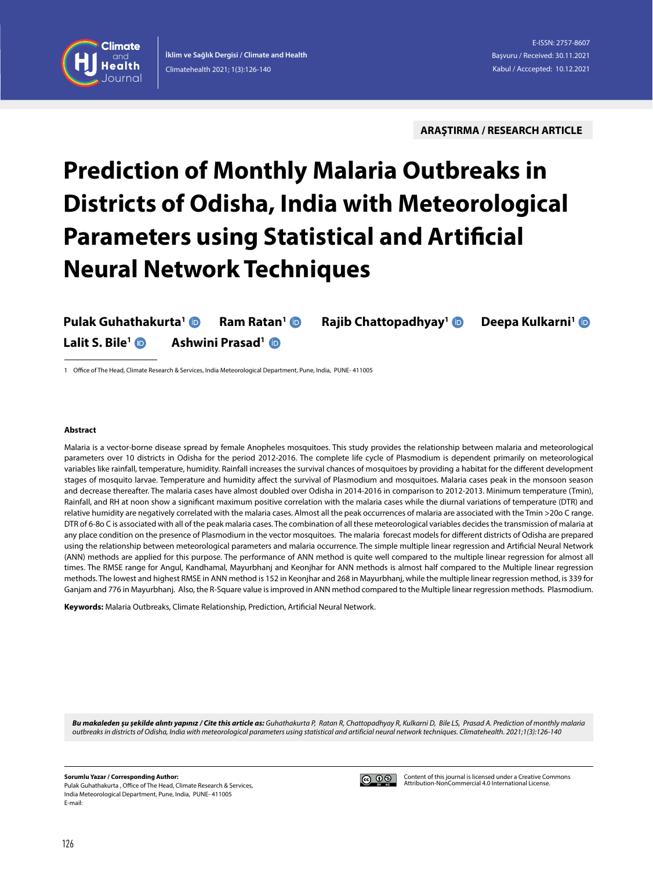

**ARAŞTIRMA / RESEARCH ARTICLE** 

# **Prediction of Monthly Malaria Outbreaks in Districts of Odisha, India with Meteorological Parameters using Statistical and Artificial Neural Network Techniques**

**Pulak Guhathakurta1 Lalit S. Bile1 Ashwini Prasad1** Ram Ratan<sup>1</sup> **D**  **Rajib Chattopadhyay1 Deepa Kulkarni1**

1 Office of The Head, Climate Research & Services, India Meteorological Department, Pune, India, PUNE- 411005

#### **Abstract**

Malaria is a vector-borne disease spread by female Anopheles mosquitoes. This study provides the relationship between malaria and meteorological parameters over 10 districts in Odisha for the period 2012-2016. The complete life cycle of Plasmodium is dependent primarily on meteorological variables like rainfall, temperature, humidity. Rainfall increases the survival chances of mosquitoes by providing a habitat for the different development stages of mosquito larvae. Temperature and humidity affect the survival of Plasmodium and mosquitoes. Malaria cases peak in the monsoon season and decrease thereafter. The malaria cases have almost doubled over Odisha in 2014-2016 in comparison to 2012-2013. Minimum temperature (Tmin), Rainfall, and RH at noon show a significant maximum positive correlation with the malaria cases while the diurnal variations of temperature (DTR) and relative humidity are negatively correlated with the malaria cases. Almost all the peak occurrences of malaria are associated with the Tmin >20o C range. DTR of 6-8o C is associated with all of the peak malaria cases. The combination of all these meteorological variables decides the transmission of malaria at any place condition on the presence of Plasmodium in the vector mosquitoes. The malaria forecast models for different districts of Odisha are prepared using the relationship between meteorological parameters and malaria occurrence. The simple multiple linear regression and Artificial Neural Network (ANN) methods are applied for this purpose. The performance of ANN method is quite well compared to the multiple linear regression for almost all times. The RMSE range for Angul, Kandhamal, Mayurbhanj and Keonjhar for ANN methods is almost half compared to the Multiple linear regression methods. The lowest and highest RMSE in ANN method is 152 in Keonjhar and 268 in Mayurbhanj, while the multiple linear regression method, is 339 for Ganjam and 776 in Mayurbhanj. Also, the R-Square value is improved in ANN method compared to the Multiple linear regression methods. Plasmodium.

**Keywords:** Malaria Outbreaks, Climate Relationship, Prediction, Artificial Neural Network.

*Bu makaleden şu şekilde alıntı yapınız / Cite this article as: Guhathakurta P, Ratan R, Chattopadhyay R, Kulkarni D, Bile LS, Prasad A. Prediction of monthly malaria outbreaks in districts of Odisha, India with meteorological parameters using statistical and artificial neural network techniques. Climatehealth. 2021;1(3):126-140*

**Sorumlu Yazar / Corresponding Author:** Pulak Guhathakurta , Office of The Head, Climate Research & Services, India Meteorological Department, Pune, India, PUNE- 411005 E-mail:



Content of this journal is licensed under a Creative Commons Attribution-NonCommercial 4.0 International License.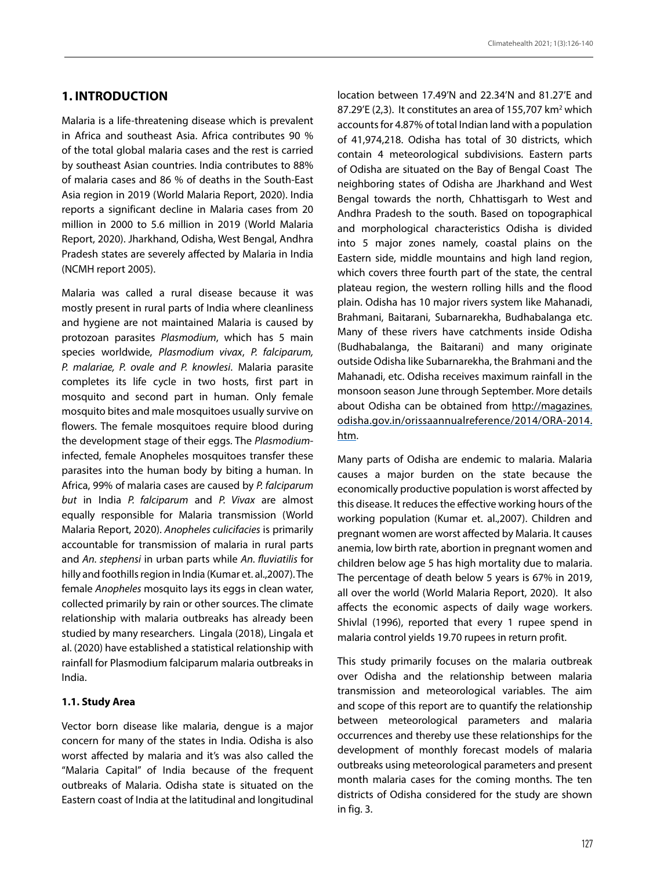# **1. INTRODUCTION**

Malaria is a life-threatening disease which is prevalent in Africa and southeast Asia. Africa contributes 90 % of the total global malaria cases and the rest is carried by southeast Asian countries. India contributes to 88% of malaria cases and 86 % of deaths in the South-East Asia region in 2019 (World Malaria Report, 2020). India reports a significant decline in Malaria cases from 20 million in 2000 to 5.6 million in 2019 (World Malaria Report, 2020). Jharkhand, Odisha, West Bengal, Andhra Pradesh states are severely affected by Malaria in India (NCMH report 2005).

Malaria was called a rural disease because it was mostly present in rural parts of India where cleanliness and hygiene are not maintained Malaria is caused by protozoan parasites *Plasmodium*, which has 5 main species worldwide, *Plasmodium vivax*, *P. falciparum, P. malariae, P. ovale and P. knowlesi*. Malaria parasite completes its life cycle in two hosts, first part in mosquito and second part in human. Only female mosquito bites and male mosquitoes usually survive on flowers. The female mosquitoes require blood during the development stage of their eggs. The *Plasmodium*infected, female Anopheles mosquitoes transfer these parasites into the human body by biting a human. In Africa, 99% of malaria cases are caused by *P. falciparum but* in India *P. falciparum* and *P. Vivax* are almost equally responsible for Malaria transmission (World Malaria Report, 2020). *Anopheles culicifacies* is primarily accountable for transmission of malaria in rural parts and *An. stephensi* in urban parts while *An. fluviatilis* for hilly and foothills region in India (Kumar et. al.,2007). The female *Anopheles* mosquito lays its eggs in clean water, collected primarily by rain or other sources. The climate relationship with malaria outbreaks has already been studied by many researchers. Lingala (2018), Lingala et al. (2020) have established a statistical relationship with rainfall for Plasmodium falciparum malaria outbreaks in India.

#### **1.1. Study Area**

Vector born disease like malaria, dengue is a major concern for many of the states in India. Odisha is also worst affected by malaria and it's was also called the "Malaria Capital" of India because of the frequent outbreaks of Malaria. Odisha state is situated on the Eastern coast of India at the latitudinal and longitudinal

location between 17.49'N and 22.34'N and 81.27'E and 87.29 $E$  (2,3). It constitutes an area of 155,707 km<sup>2</sup> which accounts for 4.87% of total Indian land with a population of 41,974,218. Odisha has total of 30 districts, which contain 4 meteorological subdivisions. Eastern parts of Odisha are situated on the Bay of Bengal Coast The neighboring states of Odisha are Jharkhand and West Bengal towards the north, Chhattisgarh to West and Andhra Pradesh to the south. Based on topographical and morphological characteristics Odisha is divided into 5 major zones namely, coastal plains on the Eastern side, middle mountains and high land region, which covers three fourth part of the state, the central plateau region, the western rolling hills and the flood plain. Odisha has 10 major rivers system like Mahanadi, Brahmani, Baitarani, Subarnarekha, Budhabalanga etc. Many of these rivers have catchments inside Odisha (Budhabalanga, the Baitarani) and many originate outside Odisha like Subarnarekha, the Brahmani and the Mahanadi, etc. Odisha receives maximum rainfall in the monsoon season June through September. More details about Odisha can be obtained from [http://magazines.](http://magazines.odisha.gov.in/orissaannualreference/2014/ORA-2014.htm) [odisha.gov.in/orissaannualreference/2014/ORA-2014.](http://magazines.odisha.gov.in/orissaannualreference/2014/ORA-2014.htm) [htm](http://magazines.odisha.gov.in/orissaannualreference/2014/ORA-2014.htm).

Many parts of Odisha are endemic to malaria. Malaria causes a major burden on the state because the economically productive population is worst affected by this disease. It reduces the effective working hours of the working population (Kumar et. al.,2007). Children and pregnant women are worst affected by Malaria. It causes anemia, low birth rate, abortion in pregnant women and children below age 5 has high mortality due to malaria. The percentage of death below 5 years is 67% in 2019, all over the world (World Malaria Report, 2020). It also affects the economic aspects of daily wage workers. Shivlal (1996), reported that every 1 rupee spend in malaria control yields 19.70 rupees in return profit.

This study primarily focuses on the malaria outbreak over Odisha and the relationship between malaria transmission and meteorological variables. The aim and scope of this report are to quantify the relationship between meteorological parameters and malaria occurrences and thereby use these relationships for the development of monthly forecast models of malaria outbreaks using meteorological parameters and present month malaria cases for the coming months. The ten districts of Odisha considered for the study are shown in fig. 3.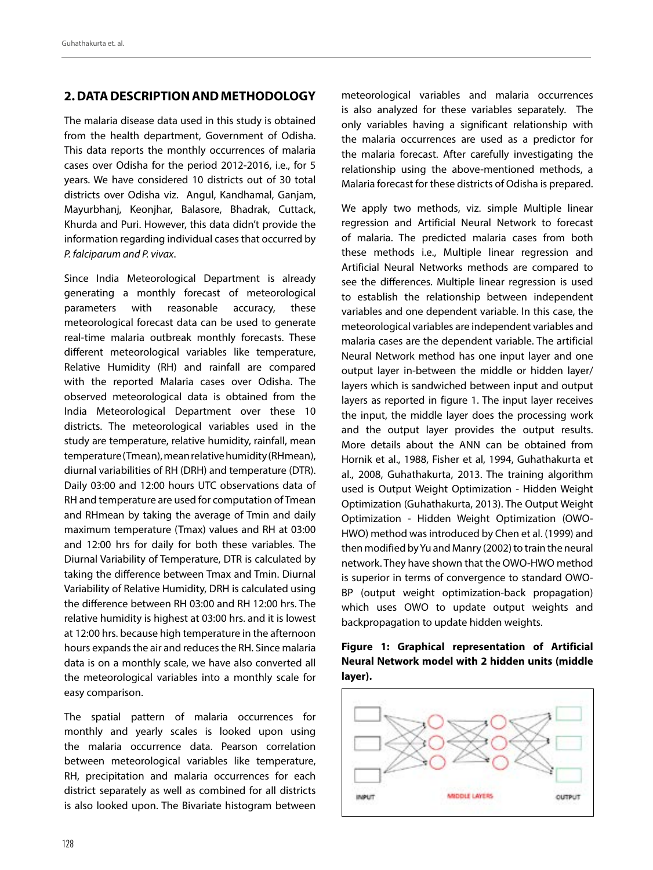# **2. DATA DESCRIPTION AND METHODOLOGY**

The malaria disease data used in this study is obtained from the health department, Government of Odisha. This data reports the monthly occurrences of malaria cases over Odisha for the period 2012-2016, i.e., for 5 years. We have considered 10 districts out of 30 total districts over Odisha viz. Angul, Kandhamal, Ganjam, Mayurbhanj, Keonjhar, Balasore, Bhadrak, Cuttack, Khurda and Puri. However, this data didn't provide the information regarding individual cases that occurred by *P. falciparum and P. vivax*.

Since India Meteorological Department is already generating a monthly forecast of meteorological parameters with reasonable accuracy, these meteorological forecast data can be used to generate real-time malaria outbreak monthly forecasts. These different meteorological variables like temperature, Relative Humidity (RH) and rainfall are compared with the reported Malaria cases over Odisha. The observed meteorological data is obtained from the India Meteorological Department over these 10 districts. The meteorological variables used in the study are temperature, relative humidity, rainfall, mean temperature (Tmean), mean relative humidity (RHmean), diurnal variabilities of RH (DRH) and temperature (DTR). Daily 03:00 and 12:00 hours UTC observations data of RH and temperature are used for computation of Tmean and RHmean by taking the average of Tmin and daily maximum temperature (Tmax) values and RH at 03:00 and 12:00 hrs for daily for both these variables. The Diurnal Variability of Temperature, DTR is calculated by taking the difference between Tmax and Tmin. Diurnal Variability of Relative Humidity, DRH is calculated using the difference between RH 03:00 and RH 12:00 hrs. The relative humidity is highest at 03:00 hrs. and it is lowest at 12:00 hrs. because high temperature in the afternoon hours expands the air and reduces the RH. Since malaria data is on a monthly scale, we have also converted all the meteorological variables into a monthly scale for easy comparison.

The spatial pattern of malaria occurrences for monthly and yearly scales is looked upon using the malaria occurrence data. Pearson correlation between meteorological variables like temperature, RH, precipitation and malaria occurrences for each district separately as well as combined for all districts is also looked upon. The Bivariate histogram between

meteorological variables and malaria occurrences is also analyzed for these variables separately. The only variables having a significant relationship with the malaria occurrences are used as a predictor for the malaria forecast. After carefully investigating the relationship using the above-mentioned methods, a Malaria forecast for these districts of Odisha is prepared.

We apply two methods, viz. simple Multiple linear regression and Artificial Neural Network to forecast of malaria. The predicted malaria cases from both these methods i.e., Multiple linear regression and Artificial Neural Networks methods are compared to see the differences. Multiple linear regression is used to establish the relationship between independent variables and one dependent variable. In this case, the meteorological variables are independent variables and malaria cases are the dependent variable. The artificial Neural Network method has one input layer and one output layer in-between the middle or hidden layer/ layers which is sandwiched between input and output layers as reported in figure 1. The input layer receives the input, the middle layer does the processing work and the output layer provides the output results. More details about the ANN can be obtained from Hornik et al., 1988, Fisher et al, 1994, Guhathakurta et al., 2008, Guhathakurta, 2013. The training algorithm used is Output Weight Optimization - Hidden Weight Optimization (Guhathakurta, 2013). The Output Weight Optimization - Hidden Weight Optimization (OWO-HWO) method was introduced by Chen et al. (1999) and then modified by Yu and Manry (2002) to train the neural network. They have shown that the OWO-HWO method is superior in terms of convergence to standard OWO-BP (output weight optimization-back propagation) which uses OWO to update output weights and backpropagation to update hidden weights.



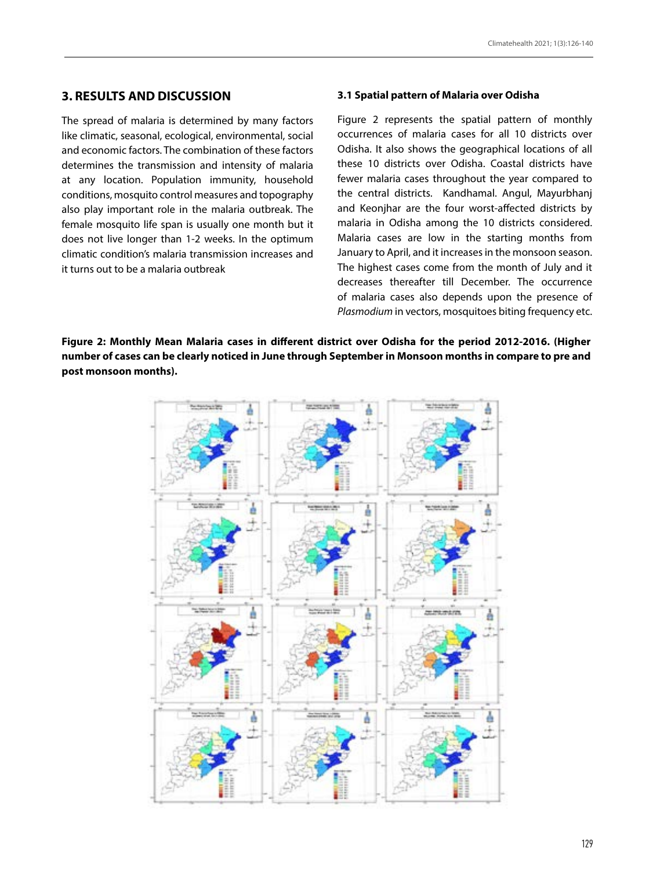## **3. RESULTS AND DISCUSSION**

The spread of malaria is determined by many factors like climatic, seasonal, ecological, environmental, social and economic factors. The combination of these factors determines the transmission and intensity of malaria at any location. Population immunity, household conditions, mosquito control measures and topography also play important role in the malaria outbreak. The female mosquito life span is usually one month but it does not live longer than 1-2 weeks. In the optimum climatic condition's malaria transmission increases and it turns out to be a malaria outbreak

#### **3.1 Spatial pattern of Malaria over Odisha**

Figure 2 represents the spatial pattern of monthly occurrences of malaria cases for all 10 districts over Odisha. It also shows the geographical locations of all these 10 districts over Odisha. Coastal districts have fewer malaria cases throughout the year compared to the central districts. Kandhamal. Angul, Mayurbhanj and Keonjhar are the four worst-affected districts by malaria in Odisha among the 10 districts considered. Malaria cases are low in the starting months from January to April, and it increases in the monsoon season. The highest cases come from the month of July and it decreases thereafter till December. The occurrence of malaria cases also depends upon the presence of *Plasmodium* in vectors, mosquitoes biting frequency etc.

**Figure 2: Monthly Mean Malaria cases in different district over Odisha for the period 2012-2016. (Higher number of cases can be clearly noticed in June through September in Monsoon months in compare to pre and post monsoon months).**

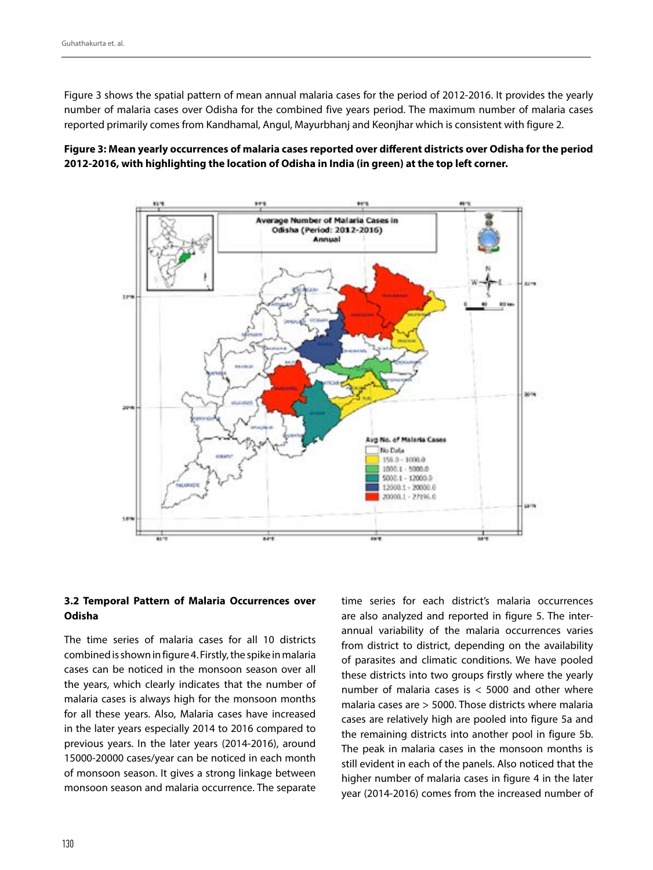Figure 3 shows the spatial pattern of mean annual malaria cases for the period of 2012-2016. It provides the yearly number of malaria cases over Odisha for the combined five years period. The maximum number of malaria cases reported primarily comes from Kandhamal, Angul, Mayurbhanj and Keonjhar which is consistent with figure 2.

# **Figure 3: Mean yearly occurrences of malaria cases reported over different districts over Odisha for the period 2012-2016, with highlighting the location of Odisha in India (in green) at the top left corner.**



## **3.2 Temporal Pattern of Malaria Occurrences over Odisha**

The time series of malaria cases for all 10 districts combined is shown in figure 4. Firstly, the spike in malaria cases can be noticed in the monsoon season over all the years, which clearly indicates that the number of malaria cases is always high for the monsoon months for all these years. Also, Malaria cases have increased in the later years especially 2014 to 2016 compared to previous years. In the later years (2014-2016), around 15000-20000 cases/year can be noticed in each month of monsoon season. It gives a strong linkage between monsoon season and malaria occurrence. The separate

time series for each district's malaria occurrences are also analyzed and reported in figure 5. The interannual variability of the malaria occurrences varies from district to district, depending on the availability of parasites and climatic conditions. We have pooled these districts into two groups firstly where the yearly number of malaria cases is < 5000 and other where malaria cases are > 5000. Those districts where malaria cases are relatively high are pooled into figure 5a and the remaining districts into another pool in figure 5b. The peak in malaria cases in the monsoon months is still evident in each of the panels. Also noticed that the higher number of malaria cases in figure 4 in the later year (2014-2016) comes from the increased number of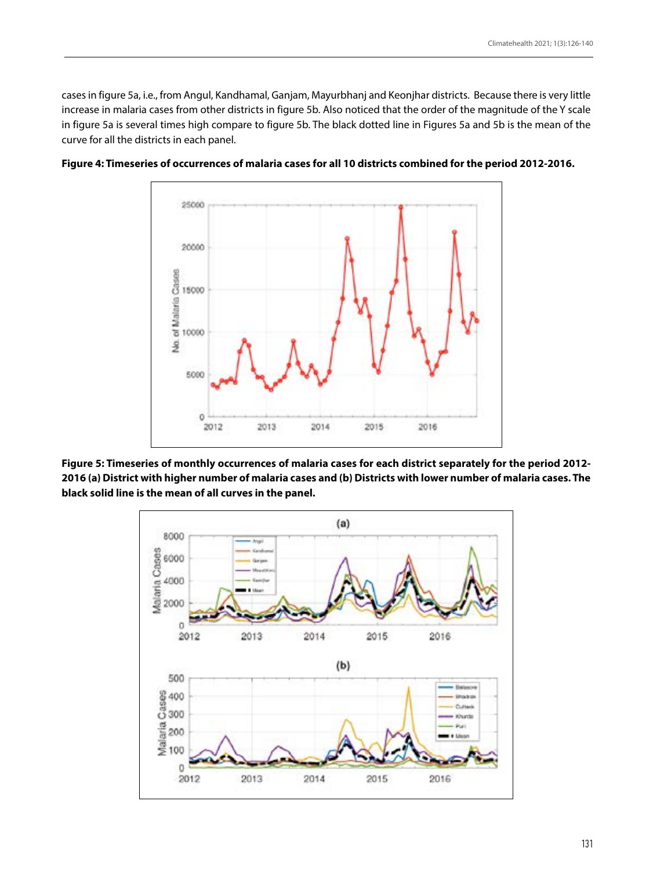cases in figure 5a, i.e., from Angul, Kandhamal, Ganjam, Mayurbhanj and Keonjhar districts. Because there is very little increase in malaria cases from other districts in figure 5b. Also noticed that the order of the magnitude of the Y scale in figure 5a is several times high compare to figure 5b. The black dotted line in Figures 5a and 5b is the mean of the curve for all the districts in each panel.



**Figure 4: Timeseries of occurrences of malaria cases for all 10 districts combined for the period 2012-2016.**

**Figure 5: Timeseries of monthly occurrences of malaria cases for each district separately for the period 2012- 2016 (a) District with higher number of malaria cases and (b) Districts with lower number of malaria cases. The black solid line is the mean of all curves in the panel.**

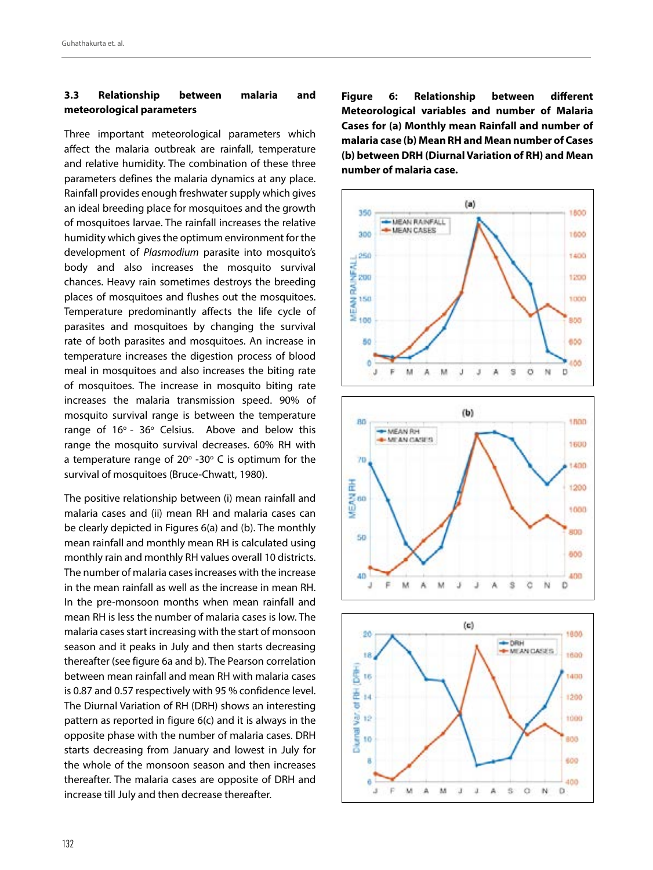## **3.3 Relationship between malaria and meteorological parameters**

Three important meteorological parameters which affect the malaria outbreak are rainfall, temperature and relative humidity. The combination of these three parameters defines the malaria dynamics at any place. Rainfall provides enough freshwater supply which gives an ideal breeding place for mosquitoes and the growth of mosquitoes larvae. The rainfall increases the relative humidity which gives the optimum environment for the development of *Plasmodium* parasite into mosquito's body and also increases the mosquito survival chances. Heavy rain sometimes destroys the breeding places of mosquitoes and flushes out the mosquitoes. Temperature predominantly affects the life cycle of parasites and mosquitoes by changing the survival rate of both parasites and mosquitoes. An increase in temperature increases the digestion process of blood meal in mosquitoes and also increases the biting rate of mosquitoes. The increase in mosquito biting rate increases the malaria transmission speed. 90% of mosquito survival range is between the temperature range of  $16^{\circ}$  -  $36^{\circ}$  Celsius. Above and below this range the mosquito survival decreases. 60% RH with a temperature range of 20 $^{\circ}$  -30 $^{\circ}$  C is optimum for the survival of mosquitoes (Bruce-Chwatt, 1980).

The positive relationship between (i) mean rainfall and malaria cases and (ii) mean RH and malaria cases can be clearly depicted in Figures 6(a) and (b). The monthly mean rainfall and monthly mean RH is calculated using monthly rain and monthly RH values overall 10 districts. The number of malaria cases increases with the increase in the mean rainfall as well as the increase in mean RH. In the pre-monsoon months when mean rainfall and mean RH is less the number of malaria cases is low. The malaria cases start increasing with the start of monsoon season and it peaks in July and then starts decreasing thereafter (see figure 6a and b). The Pearson correlation between mean rainfall and mean RH with malaria cases is 0.87 and 0.57 respectively with 95 % confidence level. The Diurnal Variation of RH (DRH) shows an interesting pattern as reported in figure 6(c) and it is always in the opposite phase with the number of malaria cases. DRH starts decreasing from January and lowest in July for the whole of the monsoon season and then increases thereafter. The malaria cases are opposite of DRH and increase till July and then decrease thereafter.

**Figure 6: Relationship between different Meteorological variables and number of Malaria Cases for (a) Monthly mean Rainfall and number of malaria case (b) Mean RH and Mean number of Cases (b) between DRH (Diurnal Variation of RH) and Mean number of malaria case.**





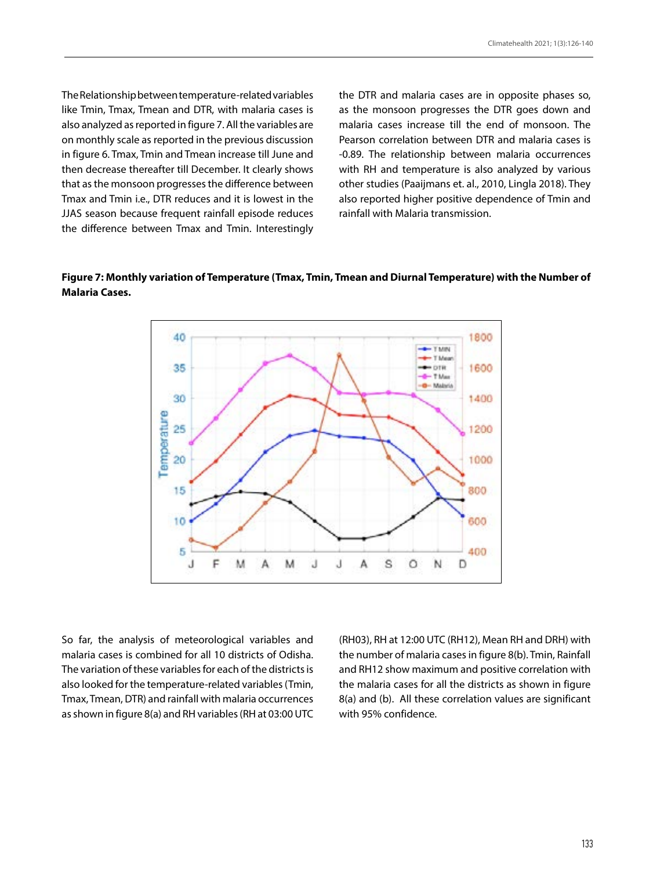The Relationship between temperature-related variables like Tmin, Tmax, Tmean and DTR, with malaria cases is also analyzed as reported in figure 7. All the variables are on monthly scale as reported in the previous discussion in figure 6. Tmax, Tmin and Tmean increase till June and then decrease thereafter till December. It clearly shows that as the monsoon progresses the difference between Tmax and Tmin i.e., DTR reduces and it is lowest in the JJAS season because frequent rainfall episode reduces the difference between Tmax and Tmin. Interestingly the DTR and malaria cases are in opposite phases so, as the monsoon progresses the DTR goes down and malaria cases increase till the end of monsoon. The Pearson correlation between DTR and malaria cases is -0.89. The relationship between malaria occurrences with RH and temperature is also analyzed by various other studies (Paaijmans et. al., 2010, Lingla 2018). They also reported higher positive dependence of Tmin and rainfall with Malaria transmission.

## **Figure 7: Monthly variation of Temperature (Tmax, Tmin, Tmean and Diurnal Temperature) with the Number of Malaria Cases.**



So far, the analysis of meteorological variables and malaria cases is combined for all 10 districts of Odisha. The variation of these variables for each of the districts is also looked for the temperature-related variables (Tmin, Tmax, Tmean, DTR) and rainfall with malaria occurrences as shown in figure 8(a) and RH variables (RH at 03:00 UTC

(RH03), RH at 12:00 UTC (RH12), Mean RH and DRH) with the number of malaria cases in figure 8(b). Tmin, Rainfall and RH12 show maximum and positive correlation with the malaria cases for all the districts as shown in figure 8(a) and (b). All these correlation values are significant with 95% confidence.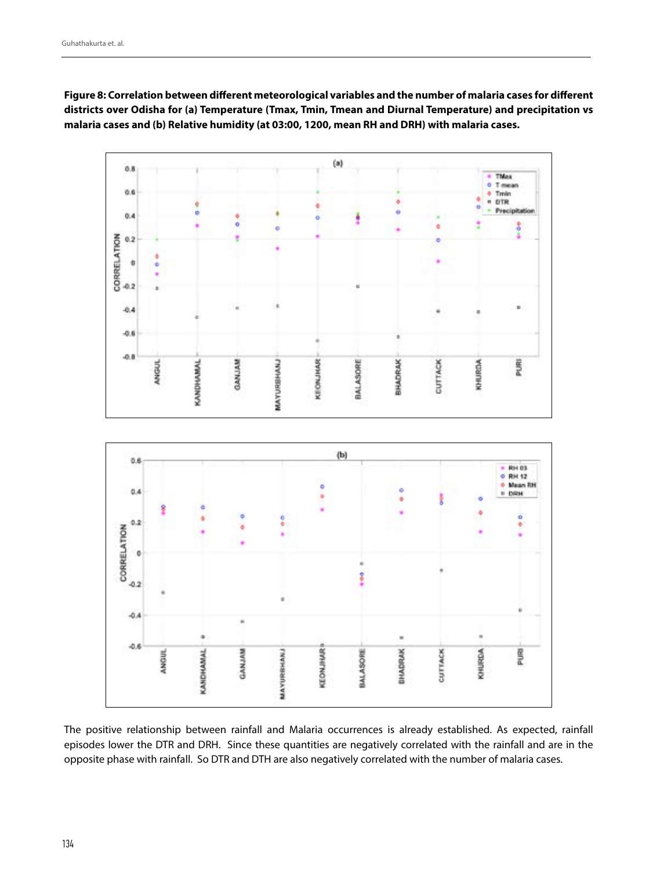

**Figure 8: Correlation between different meteorological variables and the number of malaria cases for different districts over Odisha for (a) Temperature (Tmax, Tmin, Tmean and Diurnal Temperature) and precipitation vs malaria cases and (b) Relative humidity (at 03:00, 1200, mean RH and DRH) with malaria cases.**

The positive relationship between rainfall and Malaria occurrences is already established. As expected, rainfall episodes lower the DTR and DRH. Since these quantities are negatively correlated with the rainfall and are in the opposite phase with rainfall. So DTR and DTH are also negatively correlated with the number of malaria cases.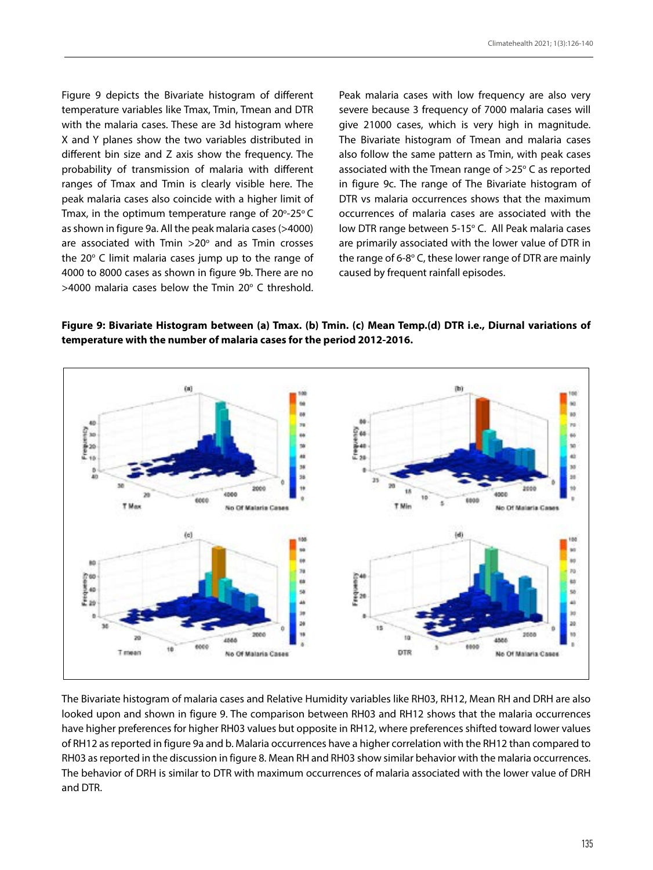Figure 9 depicts the Bivariate histogram of different temperature variables like Tmax, Tmin, Tmean and DTR with the malaria cases. These are 3d histogram where X and Y planes show the two variables distributed in different bin size and Z axis show the frequency. The probability of transmission of malaria with different ranges of Tmax and Tmin is clearly visible here. The peak malaria cases also coincide with a higher limit of Tmax, in the optimum temperature range of 20 $^{\circ}$ -25 $^{\circ}$ C as shown in figure 9a. All the peak malaria cases (>4000) are associated with  $Tmin > 20^\circ$  and as  $Tmin$  crosses the 20 $^{\circ}$  C limit malaria cases jump up to the range of 4000 to 8000 cases as shown in figure 9b. There are no  $>$ 4000 malaria cases below the Tmin 20 $^{\circ}$  C threshold.

Peak malaria cases with low frequency are also very severe because 3 frequency of 7000 malaria cases will give 21000 cases, which is very high in magnitude. The Bivariate histogram of Tmean and malaria cases also follow the same pattern as Tmin, with peak cases associated with the Tmean range of  $>$ 25 $\degree$  C as reported in figure 9c. The range of The Bivariate histogram of DTR vs malaria occurrences shows that the maximum occurrences of malaria cases are associated with the low DTR range between 5-15° C. All Peak malaria cases are primarily associated with the lower value of DTR in the range of 6-8 $\degree$  C, these lower range of DTR are mainly caused by frequent rainfall episodes.

**Figure 9: Bivariate Histogram between (a) Tmax. (b) Tmin. (c) Mean Temp.(d) DTR i.e., Diurnal variations of temperature with the number of malaria cases for the period 2012-2016.**



The Bivariate histogram of malaria cases and Relative Humidity variables like RH03, RH12, Mean RH and DRH are also looked upon and shown in figure 9. The comparison between RH03 and RH12 shows that the malaria occurrences have higher preferences for higher RH03 values but opposite in RH12, where preferences shifted toward lower values of RH12 as reported in figure 9a and b. Malaria occurrences have a higher correlation with the RH12 than compared to RH03 as reported in the discussion in figure 8. Mean RH and RH03 show similar behavior with the malaria occurrences. The behavior of DRH is similar to DTR with maximum occurrences of malaria associated with the lower value of DRH and DTR.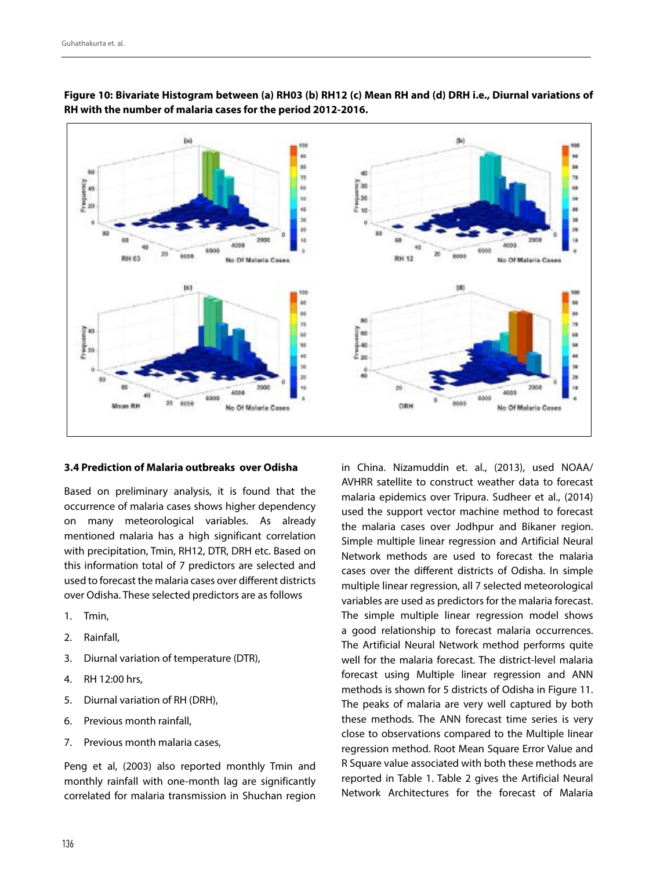

## **Figure 10: Bivariate Histogram between (a) RH03 (b) RH12 (c) Mean RH and (d) DRH i.e., Diurnal variations of RH with the number of malaria cases for the period 2012-2016.**

#### **3.4 Prediction of Malaria outbreaks over Odisha**

Based on preliminary analysis, it is found that the occurrence of malaria cases shows higher dependency on many meteorological variables. As already mentioned malaria has a high significant correlation with precipitation, Tmin, RH12, DTR, DRH etc. Based on this information total of 7 predictors are selected and used to forecast the malaria cases over different districts over Odisha. These selected predictors are as follows

- 1. Tmin,
- 2. Rainfall,
- 3. Diurnal variation of temperature (DTR),
- 4. RH 12:00 hrs,
- 5. Diurnal variation of RH (DRH),
- 6. Previous month rainfall,
- 7. Previous month malaria cases,

Peng et al, (2003) also reported monthly Tmin and monthly rainfall with one-month lag are significantly correlated for malaria transmission in Shuchan region

in China. Nizamuddin et. al., (2013), used NOAA/ AVHRR satellite to construct weather data to forecast malaria epidemics over Tripura. Sudheer et al., (2014) used the support vector machine method to forecast the malaria cases over Jodhpur and Bikaner region. Simple multiple linear regression and Artificial Neural Network methods are used to forecast the malaria cases over the different districts of Odisha. In simple multiple linear regression, all 7 selected meteorological variables are used as predictors for the malaria forecast. The simple multiple linear regression model shows a good relationship to forecast malaria occurrences. The Artificial Neural Network method performs quite well for the malaria forecast. The district-level malaria forecast using Multiple linear regression and ANN methods is shown for 5 districts of Odisha in Figure 11. The peaks of malaria are very well captured by both these methods. The ANN forecast time series is very close to observations compared to the Multiple linear regression method. Root Mean Square Error Value and R Square value associated with both these methods are reported in Table 1. Table 2 gives the Artificial Neural Network Architectures for the forecast of Malaria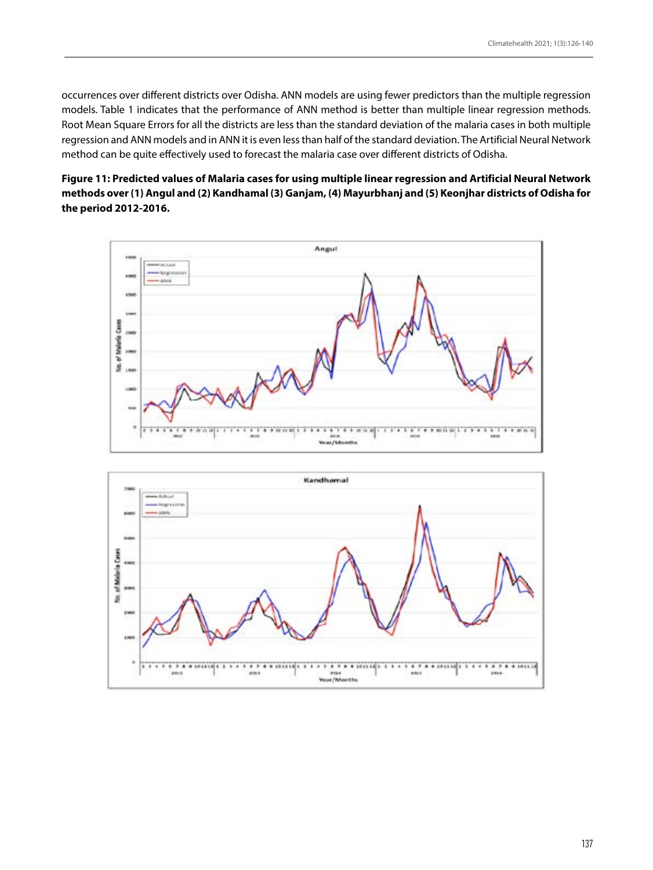occurrences over different districts over Odisha. ANN models are using fewer predictors than the multiple regression models. Table 1 indicates that the performance of ANN method is better than multiple linear regression methods. Root Mean Square Errors for all the districts are less than the standard deviation of the malaria cases in both multiple regression and ANN models and in ANN it is even less than half of the standard deviation. The Artificial Neural Network method can be quite effectively used to forecast the malaria case over different districts of Odisha.

**Figure 11: Predicted values of Malaria cases for using multiple linear regression and Artificial Neural Network methods over (1) Angul and (2) Kandhamal (3) Ganjam, (4) Mayurbhanj and (5) Keonjhar districts of Odisha for the period 2012-2016.**



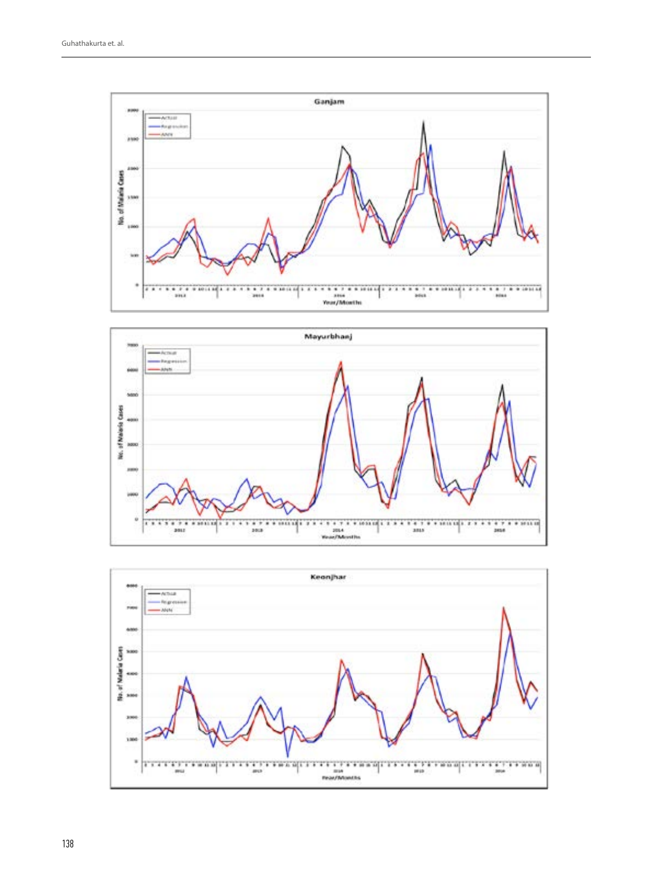



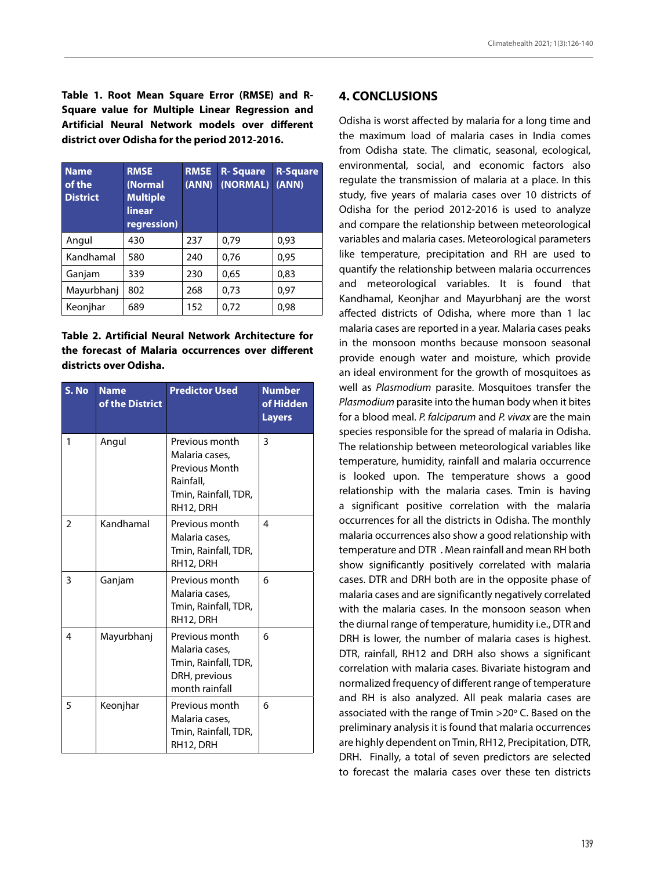**Table 1. Root Mean Square Error (RMSE) and R-Square value for Multiple Linear Regression and Artificial Neural Network models over different district over Odisha for the period 2012-2016.**

| <b>Name</b><br>of the<br><b>District</b> | <b>RMSE</b><br>(Normal<br><b>Multiple</b><br>linear<br>regression) | <b>RMSE</b><br>(ANN) | <b>R-Square</b><br>(NORMAL) | <b>R-Square</b><br>(ANN) |
|------------------------------------------|--------------------------------------------------------------------|----------------------|-----------------------------|--------------------------|
| Angul                                    | 430                                                                | 237                  | 0,79                        | 0,93                     |
| Kandhamal                                | 580                                                                | 240                  | 0,76                        | 0,95                     |
| Ganjam                                   | 339                                                                | 230                  | 0,65                        | 0,83                     |
| Mayurbhanj                               | 802                                                                | 268                  | 0,73                        | 0,97                     |
| Keonihar                                 | 689                                                                | 152                  | 0,72                        | 0,98                     |

**Table 2. Artificial Neural Network Architecture for the forecast of Malaria occurrences over different districts over Odisha.**

| S. No          | <b>Name</b><br>of the District | <b>Predictor Used</b>                                                                                | <b>Number</b><br>of Hidden<br><b>Layers</b> |
|----------------|--------------------------------|------------------------------------------------------------------------------------------------------|---------------------------------------------|
| 1              | Angul                          | Previous month<br>Malaria cases,<br>Previous Month<br>Rainfall,<br>Tmin, Rainfall, TDR,<br>RH12, DRH | 3                                           |
| $\overline{2}$ | Kandhamal                      | Previous month<br>Malaria cases,<br>Tmin, Rainfall, TDR,<br>RH12, DRH                                | 4                                           |
| 3              | Ganjam                         | Previous month<br>Malaria cases,<br>Tmin, Rainfall, TDR,<br>RH12, DRH                                | 6                                           |
| 4              | Mayurbhanj                     | Previous month<br>Malaria cases,<br>Tmin, Rainfall, TDR,<br>DRH, previous<br>month rainfall          | 6                                           |
| 5              | Keonjhar                       | Previous month<br>Malaria cases,<br>Tmin, Rainfall, TDR,<br>RH12, DRH                                | 6                                           |

# **4. CONCLUSIONS**

Odisha is worst affected by malaria for a long time and the maximum load of malaria cases in India comes from Odisha state. The climatic, seasonal, ecological, environmental, social, and economic factors also regulate the transmission of malaria at a place. In this study, five years of malaria cases over 10 districts of Odisha for the period 2012-2016 is used to analyze and compare the relationship between meteorological variables and malaria cases. Meteorological parameters like temperature, precipitation and RH are used to quantify the relationship between malaria occurrences and meteorological variables. It is found that Kandhamal, Keonjhar and Mayurbhanj are the worst affected districts of Odisha, where more than 1 lac malaria cases are reported in a year. Malaria cases peaks in the monsoon months because monsoon seasonal provide enough water and moisture, which provide an ideal environment for the growth of mosquitoes as well as *Plasmodium* parasite. Mosquitoes transfer the *Plasmodium* parasite into the human body when it bites for a blood meal. *P. falciparum* and *P. vivax* are the main species responsible for the spread of malaria in Odisha. The relationship between meteorological variables like temperature, humidity, rainfall and malaria occurrence is looked upon. The temperature shows a good relationship with the malaria cases. Tmin is having a significant positive correlation with the malaria occurrences for all the districts in Odisha. The monthly malaria occurrences also show a good relationship with temperature and DTR . Mean rainfall and mean RH both show significantly positively correlated with malaria cases. DTR and DRH both are in the opposite phase of malaria cases and are significantly negatively correlated with the malaria cases. In the monsoon season when the diurnal range of temperature, humidity i.e., DTR and DRH is lower, the number of malaria cases is highest. DTR, rainfall, RH12 and DRH also shows a significant correlation with malaria cases. Bivariate histogram and normalized frequency of different range of temperature and RH is also analyzed. All peak malaria cases are associated with the range of Tmin >20° C. Based on the preliminary analysis it is found that malaria occurrences are highly dependent on Tmin, RH12, Precipitation, DTR, DRH. Finally, a total of seven predictors are selected to forecast the malaria cases over these ten districts